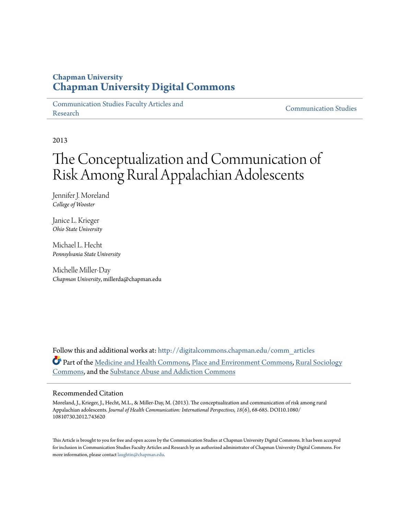## **Chapman University [Chapman University Digital Commons](http://digitalcommons.chapman.edu?utm_source=digitalcommons.chapman.edu%2Fcomm_articles%2F12&utm_medium=PDF&utm_campaign=PDFCoverPages)**

[Communication Studies Faculty Articles and](http://digitalcommons.chapman.edu/comm_articles?utm_source=digitalcommons.chapman.edu%2Fcomm_articles%2F12&utm_medium=PDF&utm_campaign=PDFCoverPages) [Research](http://digitalcommons.chapman.edu/comm_articles?utm_source=digitalcommons.chapman.edu%2Fcomm_articles%2F12&utm_medium=PDF&utm_campaign=PDFCoverPages) [Communication Studies](http://digitalcommons.chapman.edu/communication?utm_source=digitalcommons.chapman.edu%2Fcomm_articles%2F12&utm_medium=PDF&utm_campaign=PDFCoverPages)

2013

# The Conceptualization and Communication of Risk Among Rural Appalachian Adolescents

Jennifer J. Moreland *College of Wooster*

Janice L. Krieger *Ohio State University*

Michael L. Hecht *Pennsylvania State University*

Michelle Miller-Day *Chapman University*, millerda@chapman.edu

Follow this and additional works at: [http://digitalcommons.chapman.edu/comm\\_articles](http://digitalcommons.chapman.edu/comm_articles?utm_source=digitalcommons.chapman.edu%2Fcomm_articles%2F12&utm_medium=PDF&utm_campaign=PDFCoverPages) Part of the [Medicine and Health Commons](http://network.bepress.com/hgg/discipline/422?utm_source=digitalcommons.chapman.edu%2Fcomm_articles%2F12&utm_medium=PDF&utm_campaign=PDFCoverPages), [Place and Environment Commons](http://network.bepress.com/hgg/discipline/424?utm_source=digitalcommons.chapman.edu%2Fcomm_articles%2F12&utm_medium=PDF&utm_campaign=PDFCoverPages), [Rural Sociology](http://network.bepress.com/hgg/discipline/428?utm_source=digitalcommons.chapman.edu%2Fcomm_articles%2F12&utm_medium=PDF&utm_campaign=PDFCoverPages) [Commons,](http://network.bepress.com/hgg/discipline/428?utm_source=digitalcommons.chapman.edu%2Fcomm_articles%2F12&utm_medium=PDF&utm_campaign=PDFCoverPages) and the [Substance Abuse and Addiction Commons](http://network.bepress.com/hgg/discipline/710?utm_source=digitalcommons.chapman.edu%2Fcomm_articles%2F12&utm_medium=PDF&utm_campaign=PDFCoverPages)

### Recommended Citation

Moreland, J., Krieger, J., Hecht, M.L., & Miller-Day, M. (2013). The conceptualization and communication of risk among rural Appalachian adolescents. *Journal of Health Communication: International Perspectives, 18*(6), 68-685. DOI10.1080/ 10810730.2012.743620

This Article is brought to you for free and open access by the Communication Studies at Chapman University Digital Commons. It has been accepted for inclusion in Communication Studies Faculty Articles and Research by an authorized administrator of Chapman University Digital Commons. For more information, please contact [laughtin@chapman.edu](mailto:laughtin@chapman.edu).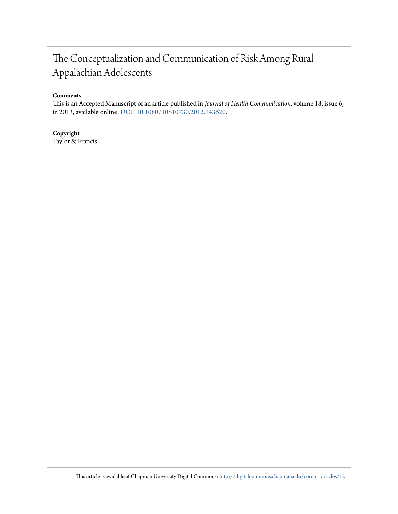# The Conceptualization and Communication of Risk Among Rural Appalachian Adolescents

## **Comments**

This is an Accepted Manuscript of an article published in *Journal of Health Communication*, volume 18, issue 6, in 2013, available online: [DOI: 10.1080/10810730.2012.743620](http://www.dx.doi.org/10.1080/10810730.2012.743620).

## **Copyright**

Taylor & Francis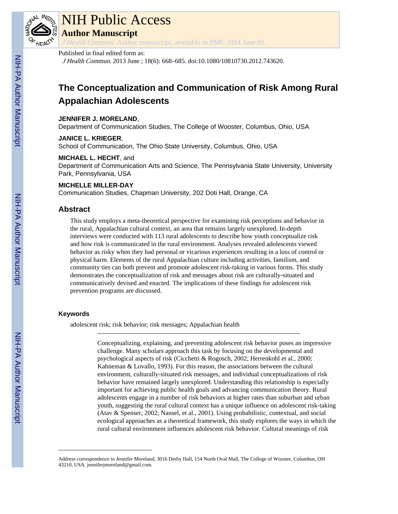

# NIH Public Access

**Author Manuscript**

J Health Commun. Author manuscript; available in PMC 2014 June 01.

## Published in final edited form as:

J Health Commun. 2013 June ; 18(6): 668–685. doi:10.1080/10810730.2012.743620.

## **The Conceptualization and Communication of Risk Among Rural Appalachian Adolescents**

## **JENNIFER J. MORELAND**,

Department of Communication Studies, The College of Wooster, Columbus, Ohio, USA

## **JANICE L. KRIEGER**,

School of Communication, The Ohio State University, Columbus, Ohio, USA

## **MICHAEL L. HECHT**, and

Department of Communication Arts and Science, The Pennsylvania State University, University Park, Pennsylvania, USA

## **MICHELLE MILLER-DAY**

Communication Studies, Chapman University, 202 Doti Hall, Orange, CA

## **Abstract**

This study employs a meta-theoretical perspective for examining risk perceptions and behavior in the rural, Appalachian cultural context, an area that remains largely unexplored. In-depth interviews were conducted with 113 rural adolescents to describe how youth conceptualize risk and how risk is communicated in the rural environment. Analyses revealed adolescents viewed behavior as risky when they had personal or vicarious experiences resulting in a loss of control or physical harm. Elements of the rural Appalachian culture including activities, familism, and community ties can both prevent and promote adolescent risk-taking in various forms. This study demonstrates the conceptualization of risk and messages about risk are culturally-situated and communicatively devised and enacted. The implications of these findings for adolescent risk prevention programs are discussed.

## **Keywords**

adolescent risk; risk behavior; risk messages; Appalachian health

Conceptualizing, explaining, and preventing adolescent risk behavior poses an impressive challenge. Many scholars approach this task by focusing on the developmental and psychological aspects of risk (Cicchetti & Rogosch, 2002; Herrenkohl et al., 2000; Kahneman & Lovallo, 1993). For this reason, the associations between the cultural environment, culturally-situated risk messages, and individual conceptualizations of risk behavior have remained largely unexplored. Understanding this relationship is especially important for achieving public health goals and advancing communication theory. Rural adolescents engage in a number of risk behaviors at higher rates than suburban and urban youth, suggesting the rural cultural context has a unique influence on adolescent risk-taking (Atav & Spenser, 2002; Nansel, et al., 2001). Using probabilistic, contextual, and social ecological approaches as a theoretical framework, this study explores the ways in which the rural cultural environment influences adolescent risk behavior. Cultural meanings of risk

Address correspondence to Jennifer Moreland, 3016 Derby Hall, 154 North Oval Mall, The College of Wooster, Columbus, OH 43210, USA. jenniferjmoreland@gmail.com.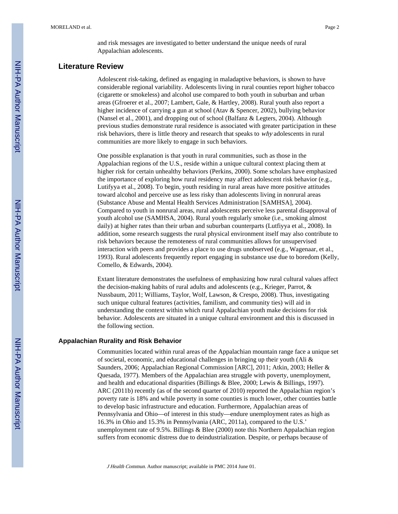and risk messages are investigated to better understand the unique needs of rural Appalachian adolescents.

## **Literature Review**

Adolescent risk-taking, defined as engaging in maladaptive behaviors, is shown to have considerable regional variability. Adolescents living in rural counties report higher tobacco (cigarette or smokeless) and alcohol use compared to both youth in suburban and urban areas (Gfroerer et al., 2007; Lambert, Gale, & Hartley, 2008). Rural youth also report a higher incidence of carrying a gun at school (Atav & Spencer, 2002), bullying behavior (Nansel et al., 2001), and dropping out of school (Balfanz & Legters, 2004). Although previous studies demonstrate rural residence is associated with greater participation in these risk behaviors, there is little theory and research that speaks to why adolescents in rural communities are more likely to engage in such behaviors.

One possible explanation is that youth in rural communities, such as those in the Appalachian regions of the U.S., reside within a unique cultural context placing them at higher risk for certain unhealthy behaviors (Perkins, 2000). Some scholars have emphasized the importance of exploring how rural residency may affect adolescent risk behavior (e.g., Lutifyya et al., 2008). To begin, youth residing in rural areas have more positive attitudes toward alcohol and perceive use as less risky than adolescents living in nonrural areas (Substance Abuse and Mental Health Services Administration [SAMHSA], 2004). Compared to youth in nonrural areas, rural adolescents perceive less parental disapproval of youth alcohol use (SAMHSA, 2004). Rural youth regularly smoke (i.e., smoking almost daily) at higher rates than their urban and suburban counterparts (Lutfiyya et al., 2008). In addition, some research suggests the rural physical environment itself may also contribute to risk behaviors because the remoteness of rural communities allows for unsupervised interaction with peers and provides a place to use drugs unobserved (e.g., Wagenaar, et al., 1993). Rural adolescents frequently report engaging in substance use due to boredom (Kelly, Comello, & Edwards, 2004).

Extant literature demonstrates the usefulness of emphasizing how rural cultural values affect the decision-making habits of rural adults and adolescents (e.g., Krieger, Parrot, & Nussbaum, 2011; Williams, Taylor, Wolf, Lawson, & Crespo, 2008). Thus, investigating such unique cultural features (activities, familism, and community ties) will aid in understanding the context within which rural Appalachian youth make decisions for risk behavior. Adolescents are situated in a unique cultural environment and this is discussed in the following section.

#### **Appalachian Rurality and Risk Behavior**

Communities located within rural areas of the Appalachian mountain range face a unique set of societal, economic, and educational challenges in bringing up their youth (Ali  $\&$ Saunders, 2006; Appalachian Regional Commission [ARC], 2011; Atkin, 2003; Heller & Quesada, 1977). Members of the Appalachian area struggle with poverty, unemployment, and health and educational disparities (Billings & Blee, 2000; Lewis & Billings, 1997). ARC (2011b) recently (as of the second quarter of 2010) reported the Appalachian region's poverty rate is 18% and while poverty in some counties is much lower, other counties battle to develop basic infrastructure and education. Furthermore, Appalachian areas of Pennsylvania and Ohio—of interest in this study—endure unemployment rates as high as 16.3% in Ohio and 15.3% in Pennsylvania (ARC, 2011a), compared to the U.S.' unemployment rate of 9.5%. Billings & Blee (2000) note this Northern Appalachian region suffers from economic distress due to deindustrialization. Despite, or perhaps because of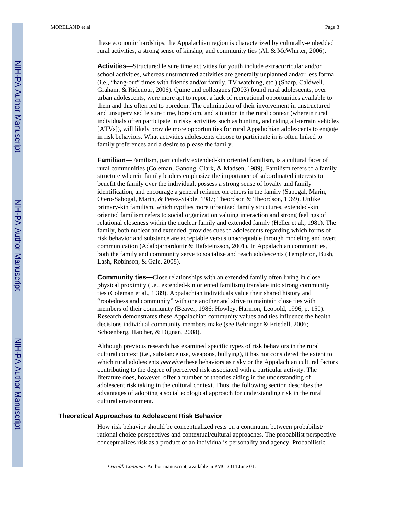these economic hardships, the Appalachian region is characterized by culturally-embedded rural activities, a strong sense of kinship, and community ties (Ali & McWhirter, 2006).

**Activities—**Structured leisure time activities for youth include extracurricular and/or school activities, whereas unstructured activities are generally unplanned and/or less formal (i.e., "hang-out" times with friends and/or family, TV watching, etc.) (Sharp, Caldwell, Graham, & Ridenour, 2006). Quine and colleagues (2003) found rural adolescents, over urban adolescents, were more apt to report a lack of recreational opportunities available to them and this often led to boredom. The culmination of their involvement in unstructured and unsupervised leisure time, boredom, and situation in the rural context (wherein rural individuals often participate in risky activities such as hunting, and riding all-terrain vehicles [ATVs]), will likely provide more opportunities for rural Appalachian adolescents to engage in risk behaviors. What activities adolescents choose to participate in is often linked to family preferences and a desire to please the family.

**Familism—**Familism, particularly extended-kin oriented familism, is a cultural facet of rural communities (Coleman, Ganong, Clark, & Madsen, 1989). Familism refers to a family structure wherein family leaders emphasize the importance of subordinated interests to benefit the family over the individual, possess a strong sense of loyalty and family identification, and encourage a general reliance on others in the family (Sabogal, Marin, Otero-Sabogal, Marin, & Perez-Stable, 1987; Theordson & Theordson, 1969). Unlike primary-kin familism, which typifies more urbanized family structures, extended-kin oriented familism refers to social organization valuing interaction and strong feelings of relational closeness within the nuclear family and extended family (Heller et al., 1981). The family, both nuclear and extended, provides cues to adolescents regarding which forms of risk behavior and substance are acceptable versus unacceptable through modeling and overt communication (Adalbjarnardottir & Hafsteinsson, 2001). In Appalachian communities, both the family and community serve to socialize and teach adolescents (Templeton, Bush, Lash, Robinson, & Gale, 2008).

**Community ties—**Close relationships with an extended family often living in close physical proximity (i.e., extended-kin oriented familism) translate into strong community ties (Coleman et al., 1989). Appalachian individuals value their shared history and "rootedness and community" with one another and strive to maintain close ties with members of their community (Beaver, 1986; Howley, Harmon, Leopold, 1996, p. 150). Research demonstrates these Appalachian community values and ties influence the health decisions individual community members make (see Behringer & Friedell, 2006; Schoenberg, Hatcher, & Dignan, 2008).

Although previous research has examined specific types of risk behaviors in the rural cultural context (i.e., substance use, weapons, bullying), it has not considered the extent to which rural adolescents *perceive* these behaviors as risky or the Appalachian cultural factors contributing to the degree of perceived risk associated with a particular activity. The literature does, however, offer a number of theories aiding in the understanding of adolescent risk taking in the cultural context. Thus, the following section describes the advantages of adopting a social ecological approach for understanding risk in the rural cultural environment.

#### **Theoretical Approaches to Adolescent Risk Behavior**

How risk behavior should be conceptualized rests on a continuum between probabilist/ rational choice perspectives and contextual/cultural approaches. The probabilist perspective conceptualizes risk as a product of an individual's personality and agency. Probabilistic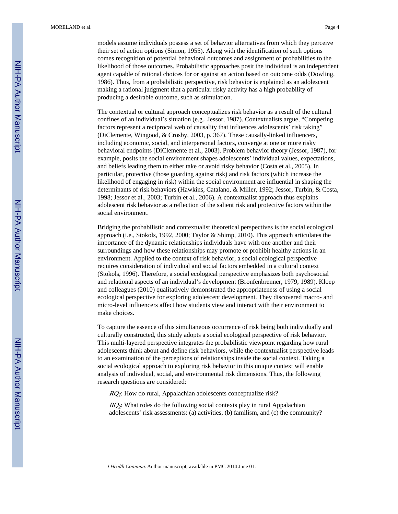models assume individuals possess a set of behavior alternatives from which they perceive their set of action options (Simon, 1955). Along with the identification of such options comes recognition of potential behavioral outcomes and assignment of probabilities to the likelihood of those outcomes. Probabilistic approaches posit the individual is an independent agent capable of rational choices for or against an action based on outcome odds (Dowling, 1986). Thus, from a probabilistic perspective, risk behavior is explained as an adolescent making a rational judgment that a particular risky activity has a high probability of producing a desirable outcome, such as stimulation.

The contextual or cultural approach conceptualizes risk behavior as a result of the cultural confines of an individual's situation (e.g., Jessor, 1987). Contextualists argue, "Competing factors represent a reciprocal web of causality that influences adolescents' risk taking" (DiClemente, Wingood, & Crosby, 2003, p. 367). These causally-linked influencers, including economic, social, and interpersonal factors, converge at one or more risky behavioral endpoints (DiClemente et al., 2003). Problem behavior theory (Jessor, 1987), for example, posits the social environment shapes adolescents' individual values, expectations, and beliefs leading them to either take or avoid risky behavior (Costa et al., 2005). In particular, protective (those guarding against risk) and risk factors (which increase the likelihood of engaging in risk) within the social environment are influential in shaping the determinants of risk behaviors (Hawkins, Catalano, & Miller, 1992; Jessor, Turbin, & Costa, 1998; Jessor et al., 2003; Turbin et al., 2006). A contextualist approach thus explains adolescent risk behavior as a reflection of the salient risk and protective factors within the social environment.

Bridging the probabilistic and contextualist theoretical perspectives is the social ecological approach (i.e., Stokols, 1992, 2000; Taylor & Shimp, 2010). This approach articulates the importance of the dynamic relationships individuals have with one another and their surroundings and how these relationships may promote or prohibit healthy actions in an environment. Applied to the context of risk behavior, a social ecological perspective requires consideration of individual and social factors embedded in a cultural context (Stokols, 1996). Therefore, a social ecological perspective emphasizes both psychosocial and relational aspects of an individual's development (Bronfenbrenner, 1979, 1989). Kloep and colleagues (2010) qualitatively demonstrated the appropriateness of using a social ecological perspective for exploring adolescent development. They discovered macro- and micro-level influencers affect how students view and interact with their environment to make choices.

To capture the essence of this simultaneous occurrence of risk being both individually and culturally constructed, this study adopts a social ecological perspective of risk behavior. This multi-layered perspective integrates the probabilistic viewpoint regarding how rural adolescents think about and define risk behaviors, while the contextualist perspective leads to an examination of the perceptions of relationships inside the social context. Taking a social ecological approach to exploring risk behavior in this unique context will enable analysis of individual, social, and environmental risk dimensions. Thus, the following research questions are considered:

 $RQ_1$ : How do rural, Appalachian adolescents conceptualize risk?

 $RQ_2$ : What roles do the following social contexts play in rural Appalachian adolescents' risk assessments: (a) activities, (b) familism, and (c) the community?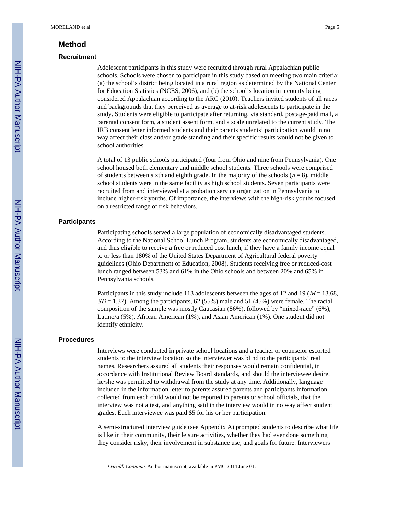## **Method**

#### **Recruitment**

Adolescent participants in this study were recruited through rural Appalachian public schools. Schools were chosen to participate in this study based on meeting two main criteria: (a) the school's district being located in a rural region as determined by the National Center for Education Statistics (NCES, 2006), and (b) the school's location in a county being considered Appalachian according to the ARC (2010). Teachers invited students of all races and backgrounds that they perceived as average to at-risk adolescents to participate in the study. Students were eligible to participate after returning, via standard, postage-paid mail, a parental consent form, a student assent form, and a scale unrelated to the current study. The IRB consent letter informed students and their parents students' participation would in no way affect their class and/or grade standing and their specific results would not be given to school authorities.

A total of 13 public schools participated (four from Ohio and nine from Pennsylvania). One school housed both elementary and middle school students. Three schools were comprised of students between sixth and eighth grade. In the majority of the schools  $(n = 8)$ , middle school students were in the same facility as high school students. Seven participants were recruited from and interviewed at a probation service organization in Pennsylvania to include higher-risk youths. Of importance, the interviews with the high-risk youths focused on a restricted range of risk behaviors.

#### **Participants**

Participating schools served a large population of economically disadvantaged students. According to the National School Lunch Program, students are economically disadvantaged, and thus eligible to receive a free or reduced cost lunch, if they have a family income equal to or less than 180% of the United States Department of Agricultural federal poverty guidelines (Ohio Department of Education, 2008). Students receiving free or reduced-cost lunch ranged between 53% and 61% in the Ohio schools and between 20% and 65% in Pennsylvania schools.

Participants in this study include 113 adolescents between the ages of 12 and 19 ( $M = 13.68$ ,  $SD = 1.37$ ). Among the participants, 62 (55%) male and 51 (45%) were female. The racial composition of the sample was mostly Caucasian (86%), followed by "mixed-race" (6%), Latino/a (5%), African American (1%), and Asian American (1%). One student did not identify ethnicity.

#### **Procedures**

Interviews were conducted in private school locations and a teacher or counselor escorted students to the interview location so the interviewer was blind to the participants' real names. Researchers assured all students their responses would remain confidential, in accordance with Institutional Review Board standards, and should the interviewee desire, he/she was permitted to withdrawal from the study at any time. Additionally, language included in the information letter to parents assured parents and participants information collected from each child would not be reported to parents or school officials, that the interview was not a test, and anything said in the interview would in no way affect student grades. Each interviewee was paid \$5 for his or her participation.

A semi-structured interview guide (see Appendix A) prompted students to describe what life is like in their community, their leisure activities, whether they had ever done something they consider risky, their involvement in substance use, and goals for future. Interviewers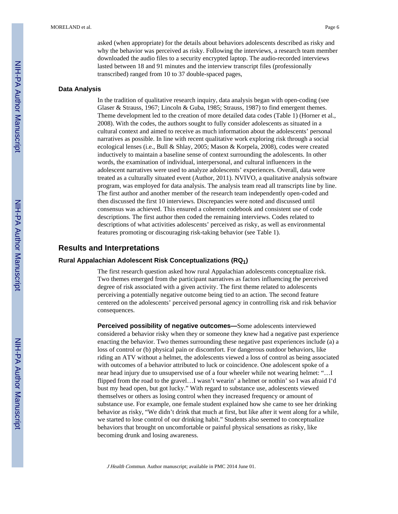asked (when appropriate) for the details about behaviors adolescents described as risky and why the behavior was perceived as risky. Following the interviews, a research team member downloaded the audio files to a security encrypted laptop. The audio-recorded interviews lasted between 18 and 91 minutes and the interview transcript files (professionally transcribed) ranged from 10 to 37 double-spaced pages,

#### **Data Analysis**

In the tradition of qualitative research inquiry, data analysis began with open-coding (see Glaser & Strauss, 1967; Lincoln & Guba, 1985; Strauss, 1987) to find emergent themes. Theme development led to the creation of more detailed data codes (Table 1) (Horner et al., 2008). With the codes, the authors sought to fully consider adolescents as situated in a cultural context and aimed to receive as much information about the adolescents' personal narratives as possible. In line with recent qualitative work exploring risk through a social ecological lenses (i.e., Bull & Shlay, 2005; Mason & Korpela, 2008), codes were created inductively to maintain a baseline sense of context surrounding the adolescents. In other words, the examination of individual, interpersonal, and cultural influencers in the adolescent narratives were used to analyze adolescents' experiences. Overall, data were treated as a culturally situated event (Author, 2011). NVIVO, a qualitative analysis software program, was employed for data analysis. The analysis team read all transcripts line by line. The first author and another member of the research team independently open-coded and then discussed the first 10 interviews. Discrepancies were noted and discussed until consensus was achieved. This ensured a coherent codebook and consistent use of code descriptions. The first author then coded the remaining interviews. Codes related to descriptions of what activities adolescents' perceived as risky, as well as environmental features promoting or discouraging risk-taking behavior (see Table 1).

## **Results and Interpretations**

#### **Rural Appalachian Adolescent Risk Conceptualizations (RQ1)**

The first research question asked how rural Appalachian adolescents conceptualize risk. Two themes emerged from the participant narratives as factors influencing the perceived degree of risk associated with a given activity. The first theme related to adolescents perceiving a potentially negative outcome being tied to an action. The second feature centered on the adolescents' perceived personal agency in controlling risk and risk behavior consequences.

**Perceived possibility of negative outcomes—**Some adolescents interviewed considered a behavior risky when they or someone they knew had a negative past experience enacting the behavior. Two themes surrounding these negative past experiences include (a) a loss of control or (b) physical pain or discomfort. For dangerous outdoor behaviors, like riding an ATV without a helmet, the adolescents viewed a loss of control as being associated with outcomes of a behavior attributed to luck or coincidence. One adolescent spoke of a near head injury due to unsupervised use of a four wheeler while not wearing helmet: "…I flipped from the road to the gravel…I wasn't wearin' a helmet or nothin' so I was afraid I'd bust my head open, but got lucky." With regard to substance use, adolescents viewed themselves or others as losing control when they increased frequency or amount of substance use. For example, one female student explained how she came to see her drinking behavior as risky, "We didn't drink that much at first, but like after it went along for a while, we started to lose control of our drinking habit." Students also seemed to conceptualize behaviors that brought on uncomfortable or painful physical sensations as risky, like becoming drunk and losing awareness.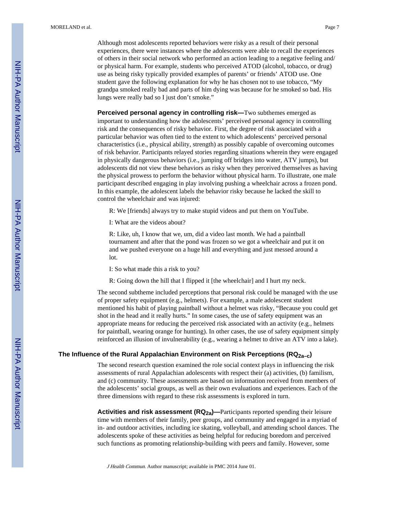MORELAND et al. Page 7

Although most adolescents reported behaviors were risky as a result of their personal experiences, there were instances where the adolescents were able to recall the experiences of others in their social network who performed an action leading to a negative feeling and/ or physical harm. For example, students who perceived ATOD (alcohol, tobacco, or drug) use as being risky typically provided examples of parents' or friends' ATOD use. One student gave the following explanation for why he has chosen not to use tobacco, "My grandpa smoked really bad and parts of him dying was because for he smoked so bad. His lungs were really bad so I just don't smoke."

**Perceived personal agency in controlling risk—**Two subthemes emerged as important to understanding how the adolescents' perceived personal agency in controlling risk and the consequences of risky behavior. First, the degree of risk associated with a particular behavior was often tied to the extent to which adolescents' perceived personal characteristics (i.e., physical ability, strength) as possibly capable of overcoming outcomes of risk behavior. Participants relayed stories regarding situations wherein they were engaged in physically dangerous behaviors (i.e., jumping off bridges into water, ATV jumps), but adolescents did not view these behaviors as risky when they perceived themselves as having the physical prowess to perform the behavior without physical harm. To illustrate, one male participant described engaging in play involving pushing a wheelchair across a frozen pond. In this example, the adolescent labels the behavior risky because he lacked the skill to control the wheelchair and was injured:

R: We [friends] always try to make stupid videos and put them on YouTube.

I: What are the videos about?

R: Like, uh, I know that we, um, did a video last month. We had a paintball tournament and after that the pond was frozen so we got a wheelchair and put it on and we pushed everyone on a huge hill and everything and just messed around a lot.

I: So what made this a risk to you?

R: Going down the hill that I flipped it [the wheelchair] and I hurt my neck.

The second subtheme included perceptions that personal risk could be managed with the use of proper safety equipment (e.g., helmets). For example, a male adolescent student mentioned his habit of playing paintball without a helmet was risky, "Because you could get shot in the head and it really hurts." In some cases, the use of safety equipment was an appropriate means for reducing the perceived risk associated with an activity (e.g., helmets for paintball, wearing orange for hunting). In other cases, the use of safety equipment simply reinforced an illusion of invulnerability (e.g., wearing a helmet to drive an ATV into a lake).

## **The Influence of the Rural Appalachian Environment on Risk Perceptions (RQ2a–c)**

The second research question examined the role social context plays in influencing the risk assessments of rural Appalachian adolescents with respect their (a) activities, (b) familism, and (c) community. These assessments are based on information received from members of the adolescents' social groups, as well as their own evaluations and experiences. Each of the three dimensions with regard to these risk assessments is explored in turn.

**Activities and risk assessment (RQ2a)—**Participants reported spending their leisure time with members of their family, peer groups, and community and engaged in a myriad of in- and outdoor activities, including ice skating, volleyball, and attending school dances. The adolescents spoke of these activities as being helpful for reducing boredom and perceived such functions as promoting relationship-building with peers and family. However, some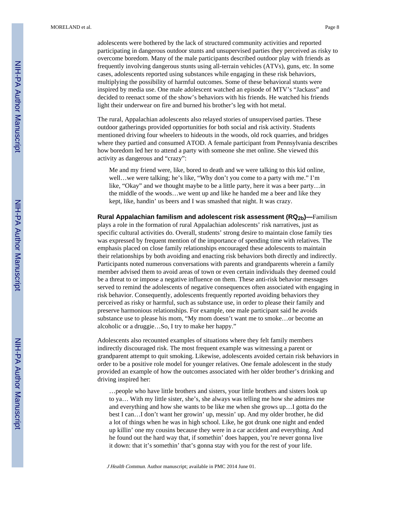adolescents were bothered by the lack of structured community activities and reported participating in dangerous outdoor stunts and unsupervised parties they perceived as risky to overcome boredom. Many of the male participants described outdoor play with friends as frequently involving dangerous stunts using all-terrain vehicles (ATVs), guns, etc. In some cases, adolescents reported using substances while engaging in these risk behaviors, multiplying the possibility of harmful outcomes. Some of these behavioral stunts were inspired by media use. One male adolescent watched an episode of MTV's "Jackass" and decided to reenact some of the show's behaviors with his friends. He watched his friends light their underwear on fire and burned his brother's leg with hot metal.

The rural, Appalachian adolescents also relayed stories of unsupervised parties. These outdoor gatherings provided opportunities for both social and risk activity. Students mentioned driving four wheelers to hideouts in the woods, old rock quarries, and bridges where they partied and consumed ATOD. A female participant from Pennsylvania describes how boredom led her to attend a party with someone she met online. She viewed this activity as dangerous and "crazy":

Me and my friend were, like, bored to death and we were talking to this kid online, well…we were talking; he's like, "Why don't you come to a party with me." I'm like, "Okay" and we thought maybe to be a little party, here it was a beer party…in the middle of the woods…we went up and like he handed me a beer and like they kept, like, handin' us beers and I was smashed that night. It was crazy.

**Rural Appalachian familism and adolescent risk assessment (RQ2b)—**Familism plays a role in the formation of rural Appalachian adolescents' risk narratives, just as specific cultural activities do. Overall, students' strong desire to maintain close family ties was expressed by frequent mention of the importance of spending time with relatives. The emphasis placed on close family relationships encouraged these adolescents to maintain their relationships by both avoiding and enacting risk behaviors both directly and indirectly. Participants noted numerous conversations with parents and grandparents wherein a family member advised them to avoid areas of town or even certain individuals they deemed could be a threat to or impose a negative influence on them. These anti-risk behavior messages served to remind the adolescents of negative consequences often associated with engaging in risk behavior. Consequently, adolescents frequently reported avoiding behaviors they perceived as risky or harmful, such as substance use, in order to please their family and preserve harmonious relationships. For example, one male participant said he avoids substance use to please his mom, "My mom doesn't want me to smoke…or become an alcoholic or a druggie…So, I try to make her happy."

Adolescents also recounted examples of situations where they felt family members indirectly discouraged risk. The most frequent example was witnessing a parent or grandparent attempt to quit smoking. Likewise, adolescents avoided certain risk behaviors in order to be a positive role model for younger relatives. One female adolescent in the study provided an example of how the outcomes associated with her older brother's drinking and driving inspired her:

…people who have little brothers and sisters, your little brothers and sisters look up to ya… With my little sister, she's, she always was telling me how she admires me and everything and how she wants to be like me when she grows up…I gotta do the best I can…I don't want her growin' up, messin' up. And my older brother, he did a lot of things when he was in high school. Like, he got drunk one night and ended up killin' one my cousins because they were in a car accident and everything. And he found out the hard way that, if somethin' does happen, you're never gonna live it down: that it's somethin' that's gonna stay with you for the rest of your life.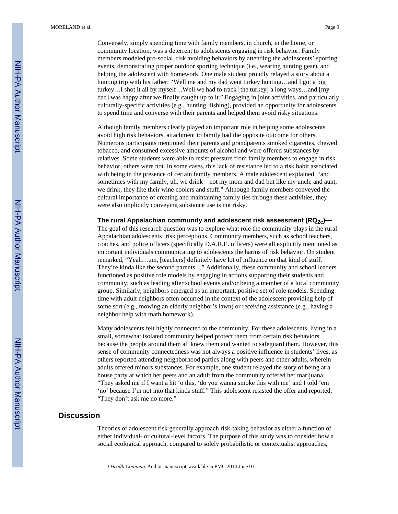Conversely, simply spending time with family members, in church, in the home, or community location, was a deterrent to adolescents engaging in risk behavior. Family members modeled pro-social, risk avoiding behaviors by attending the adolescents' sporting events, demonstrating proper outdoor sporting technique (i.e., wearing hunting gear), and helping the adolescent with homework. One male student proudly relayed a story about a hunting trip with his father: "Well me and my dad went turkey hunting…and I got a big turkey…I shot it all by myself…Well we had to track [the turkey] a long ways…and [my dad] was happy after we finally caught up to it." Engaging in joint activities, and particularly culturally-specific activities (e.g., hunting, fishing), provided an opportunity for adolescents to spend time and converse with their parents and helped them avoid risky situations.

Although family members clearly played an important role in helping some adolescents avoid high risk behaviors, attachment to family had the opposite outcome for others. Numerous participants mentioned their parents and grandparents smoked cigarettes, chewed tobacco, and consumed excessive amounts of alcohol and were offered substances by relatives. Some students were able to resist pressure from family members to engage in risk behavior, others were not. In some cases, this lack of resistance led to a risk habit associated with being in the presence of certain family members. A male adolescent explained, "and sometimes with my family, uh, we drink – not my mom and dad but like my uncle and aunt, we drink, they like their wine coolers and stuff." Although family members conveyed the cultural importance of creating and maintaining family ties through these activities, they were also implicitly conveying substance use is not risky.

**The rural Appalachian community and adolescent risk assessment (RQ2c)—** The goal of this research question was to explore what role the community plays in the rural Appalachian adolescents' risk perceptions. Community members, such as school teachers, coaches, and police officers (specifically D.A.R.E. officers) were all explicitly mentioned as important individuals communicating to adolescents the harms of risk behavior. On student remarked, "Yeah…um, [teachers] definitely have lot of influence on that kind of stuff. They're kinda like the second parents…" Additionally, these community and school leaders functioned as positive role models by engaging in actions supporting their students and community, such as leading after school events and/or being a member of a local community group. Similarly, neighbors emerged as an important, positive set of role models. Spending time with adult neighbors often occurred in the context of the adolescent providing help of some sort (e.g., mowing an elderly neighbor's lawn) or receiving assistance (e.g., having a neighbor help with math homework).

Many adolescents felt highly connected to the community. For these adolescents, living in a small, somewhat isolated community helped protect them from certain risk behaviors because the people around them all knew them and wanted to safeguard them. However, this sense of community connectedness was not always a positive influence in students' lives, as others reported attending neighborhood parties along with peers and other adults, wherein adults offered minors substances. For example, one student relayed the story of being at a house party at which her peers and an adult from the community offered her marijuana: "They asked me if I want a hit 'o this, 'do you wanna smoke this with me' and I told 'em 'no' because I'm not into that kinda stuff." This adolescent resisted the offer and reported, "They don't ask me no more."

## **Discussion**

Theories of adolescent risk generally approach risk-taking behavior as either a function of either individual- or cultural-level factors. The purpose of this study was to consider how a social ecological approach, compared to solely probabilistic or contextualist approaches,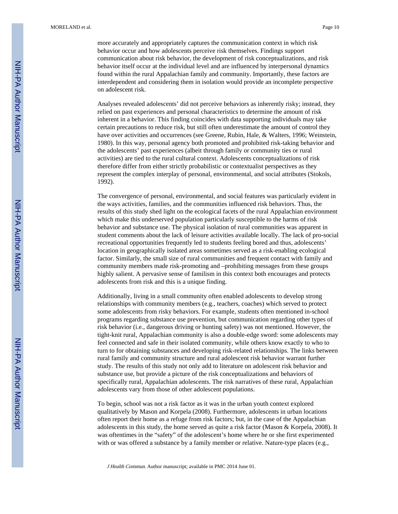more accurately and appropriately captures the communication context in which risk behavior occur and how adolescents perceive risk themselves. Findings support communication about risk behavior, the development of risk conceptualizations, and risk behavior itself occur at the individual level and are influenced by interpersonal dynamics found within the rural Appalachian family and community. Importantly, these factors are interdependent and considering them in isolation would provide an incomplete perspective on adolescent risk.

Analyses revealed adolescents' did not perceive behaviors as inherently risky; instead, they relied on past experiences and personal characteristics to determine the amount of risk inherent in a behavior. This finding coincides with data supporting individuals may take certain precautions to reduce risk, but still often underestimate the amount of control they have over activities and occurrences (see Greene, Rubin, Hale, & Walters, 1996; Weinstein, 1980). In this way, personal agency both promoted and prohibited risk-taking behavior and the adolescents' past experiences (albeit through family or community ties or rural activities) are tied to the rural cultural context. Adolescents conceptualizations of risk therefore differ from either strictly probabilistic or contextualist perspectives as they represent the complex interplay of personal, environmental, and social attributes (Stokols, 1992).

The convergence of personal, environmental, and social features was particularly evident in the ways activities, families, and the communities influenced risk behaviors. Thus, the results of this study shed light on the ecological facets of the rural Appalachian environment which make this underserved population particularly susceptible to the harms of risk behavior and substance use. The physical isolation of rural communities was apparent in student comments about the lack of leisure activities available locally. The lack of pro-social recreational opportunities frequently led to students feeling bored and thus, adolescents' location in geographically isolated areas sometimes served as a risk-enabling ecological factor. Similarly, the small size of rural communities and frequent contact with family and community members made risk-promoting and –prohibiting messages from these groups highly salient. A pervasive sense of familism in this context both encourages and protects adolescents from risk and this is a unique finding.

Additionally, living in a small community often enabled adolescents to develop strong relationships with community members (e.g., teachers, coaches) which served to protect some adolescents from risky behaviors. For example, students often mentioned in-school programs regarding substance use prevention, but communication regarding other types of risk behavior (i.e., dangerous driving or hunting safety) was not mentioned. However, the tight-knit rural, Appalachian community is also a double-edge sword: some adolescents may feel connected and safe in their isolated community, while others know exactly to who to turn to for obtaining substances and developing risk-related relationships. The links between rural family and community structure and rural adolescent risk behavior warrant further study. The results of this study not only add to literature on adolescent risk behavior and substance use, but provide a picture of the risk conceptualizations and behaviors of specifically rural, Appalachian adolescents. The risk narratives of these rural, Appalachian adolescents vary from those of other adolescent populations.

To begin, school was not a risk factor as it was in the urban youth context explored qualitatively by Mason and Korpela (2008). Furthermore, adolescents in urban locations often report their home as a refuge from risk factors; but, in the case of the Appalachian adolescents in this study, the home served as quite a risk factor (Mason & Korpela, 2008). It was oftentimes in the "safety" of the adolescent's home where he or she first experimented with or was offered a substance by a family member or relative. Nature-type places (e.g.,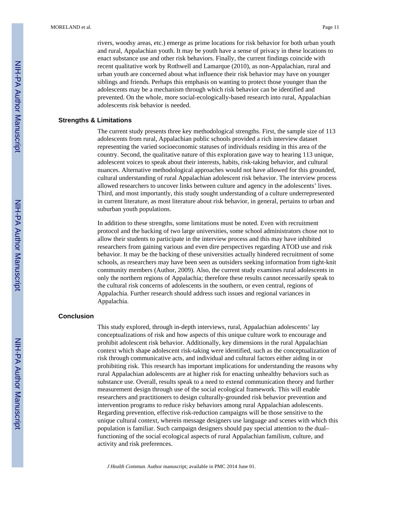rivers, woodsy areas, etc.) emerge as prime locations for risk behavior for both urban youth and rural, Appalachian youth. It may be youth have a sense of privacy in these locations to enact substance use and other risk behaviors. Finally, the current findings coincide with recent qualitative work by Rothwell and Lamarque (2010), as non-Appalachian, rural and urban youth are concerned about what influence their risk behavior may have on younger siblings and friends. Perhaps this emphasis on wanting to protect those younger than the adolescents may be a mechanism through which risk behavior can be identified and prevented. On the whole, more social-ecologically-based research into rural, Appalachian adolescents risk behavior is needed.

#### **Strengths & Limitations**

The current study presents three key methodological strengths. First, the sample size of 113 adolescents from rural, Appalachian public schools provided a rich interview dataset representing the varied socioeconomic statuses of individuals residing in this area of the country. Second, the qualitative nature of this exploration gave way to hearing 113 unique, adolescent voices to speak about their interests, habits, risk-taking behavior, and cultural nuances. Alternative methodological approaches would not have allowed for this grounded, cultural understanding of rural Appalachian adolescent risk behavior. The interview process allowed researchers to uncover links between culture and agency in the adolescents' lives. Third, and most importantly, this study sought understanding of a culture underrepresented in current literature, as most literature about risk behavior, in general, pertains to urban and suburban youth populations.

In addition to these strengths, some limitations must be noted. Even with recruitment protocol and the backing of two large universities, some school administrators chose not to allow their students to participate in the interview process and this may have inhibited researchers from gaining various and even dire perspectives regarding ATOD use and risk behavior. It may be the backing of these universities actually hindered recruitment of some schools, as researchers may have been seen as outsiders seeking information from tight-knit community members (Author, 2009). Also, the current study examines rural adolescents in only the northern regions of Appalachia; therefore these results cannot necessarily speak to the cultural risk concerns of adolescents in the southern, or even central, regions of Appalachia. Further research should address such issues and regional variances in Appalachia.

#### **Conclusion**

This study explored, through in-depth interviews, rural, Appalachian adolescents' lay conceptualizations of risk and how aspects of this unique culture work to encourage and prohibit adolescent risk behavior. Additionally, key dimensions in the rural Appalachian context which shape adolescent risk-taking were identified, such as the conceptualization of risk through communicative acts, and individual and cultural factors either aiding in or prohibiting risk. This research has important implications for understanding the reasons why rural Appalachian adolescents are at higher risk for enacting unhealthy behaviors such as substance use. Overall, results speak to a need to extend communication theory and further measurement design through use of the social ecological framework. This will enable researchers and practitioners to design culturally-grounded risk behavior prevention and intervention programs to reduce risky behaviors among rural Appalachian adolescents. Regarding prevention, effective risk-reduction campaigns will be those sensitive to the unique cultural context, wherein message designers use language and scenes with which this population is familiar. Such campaign designers should pay special attention to the dual– functioning of the social ecological aspects of rural Appalachian familism, culture, and activity and risk preferences.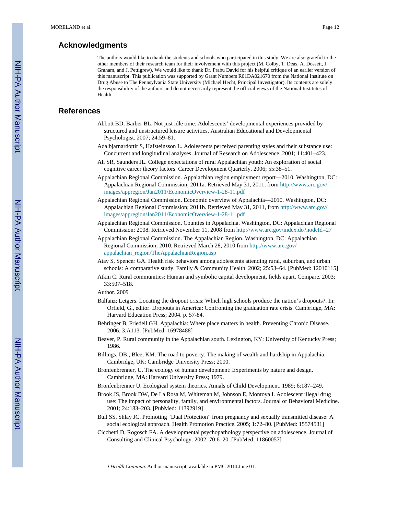### **Acknowledgments**

The authors would like to thank the students and schools who participated in this study. We are also grateful to the other members of their research team for their involvement with this project (M. Colby, T. Deas, A. Dossett, J. Graham, and J. Pettigrew). We would like to thank Dr. Prabu David for his helpful critique of an earlier version of this manuscript. This publication was supported by Grant Numbers R01DA021670 from the National Institute on Drug Abuse to The Pennsylvania State University (Michael Hecht, Principal Investigator). Its contents are solely the responsibility of the authors and do not necessarily represent the official views of the National Institutes of Health.

### **References**

- Abbott BD, Barber BL. Not just idle time: Adolescents' developmental experiences provided by structured and unstructured leisure activities. Australian Educational and Developmental Psychologist. 2007; 24:59–81.
- Adalbjarnardottir S, Hafsteinsson L. Adolescents perceived parenting styles and their substance use: Concurrent and longitudinal analyses. Journal of Research on Adolescence. 2001; 11:401–423.
- Ali SR, Saunders JL. College expectations of rural Appalachian youth: An exploration of social cognitive career theory factors. Career Development Quarterly. 2006; 55:38–51.
- Appalachian Regional Commission. Appalachian region employment report—2010. Washington, DC: Appalachian Regional Commission; 2011a. Retrieved May 31, 2011, from [http://www.arc.gov/](http://www.arc.gov/images/appregion/Jan2011/EconomicOverview-1-28-11.pdf) [images/appregion/Jan2011/EconomicOverview-1-28-11.pdf](http://www.arc.gov/images/appregion/Jan2011/EconomicOverview-1-28-11.pdf)
- Appalachian Regional Commission. Economic overview of Appalachia—2010. Washington, DC: Appalachian Regional Commission; 2011b. Retrieved May 31, 2011, from [http://www.arc.gov/](http://www.arc.gov/images/appregion/Jan2011/EconomicOverview-1-28-11.pdf) [images/appregion/Jan2011/EconomicOverview-1-28-11.pdf](http://www.arc.gov/images/appregion/Jan2011/EconomicOverview-1-28-11.pdf)
- Appalachian Regional Commission. Counties in Appalachia. Washington, DC: Appalachian Regional Commission; 2008. Retrieved November 11, 2008 from <http://www.arc.gov/index.do?nodeId=27>
- Appalachian Regional Commission. The Appalachian Region. Washington, DC: Appalachian Regional Commission; 2010. Retrieved March 28, 2010 from [http://www.arc.gov/](http://www.arc.gov/appalachian_region/TheAppalachianRegion.asp) [appalachian\\_region/TheAppalachianRegion.asp](http://www.arc.gov/appalachian_region/TheAppalachianRegion.asp)
- Atav S, Spencer GA. Health risk behaviors among adolescents attending rural, suburban, and urban schools: A comparative study. Family & Community Health. 2002; 25:53–64. [PubMed: 12010115]
- Atkin C. Rural communities: Human and symbolic capital development, fields apart. Compare. 2003; 33:507–518.
- Author. 2009
- Balfanz; Letgers. Locating the dropout crisis: Which high schools produce the nation's dropouts?. In: Orfield, G., editor. Dropouts in America: Confronting the graduation rate crisis. Cambridge, MA: Harvard Education Press; 2004. p. 57-84.
- Behringer B, Friedell GH. Appalachia: Where place matters in health. Preventing Chronic Disease. 2006; 3:A113. [PubMed: 16978488]
- Beaver, P. Rural community in the Appalachian south. Lexington, KY: University of Kentucky Press; 1986.
- Billings, DB.; Blee, KM. The road to poverty: The making of wealth and hardship in Appalachia. Cambridge, UK: Cambridge University Press; 2000.
- Bronfenbrenner, U. The ecology of human development: Experiments by nature and design. Cambridge, MA: Harvard University Press; 1979.
- Bronfenbrenner U. Ecological system theories. Annals of Child Development. 1989; 6:187–249.
- Brook JS, Brook DW, De La Rosa M, Whiteman M, Johnson E, Montoya I. Adolescent illegal drug use: The impact of personality, family, and environmental factors. Journal of Behavioral Medicine. 2001; 24:183–203. [PubMed: 11392919]
- Bull SS, Shlay JC. Promoting "Dual Protection" from pregnancy and sexually transmitted disease: A social ecological approach. Health Promotion Practice. 2005; 1:72–80. [PubMed: 15574531]
- Cicchetti D, Rogosch FA. A developmental psychopathology perspective on adolescence. Journal of Consulting and Clinical Psychology. 2002; 70:6–20. [PubMed: 11860057]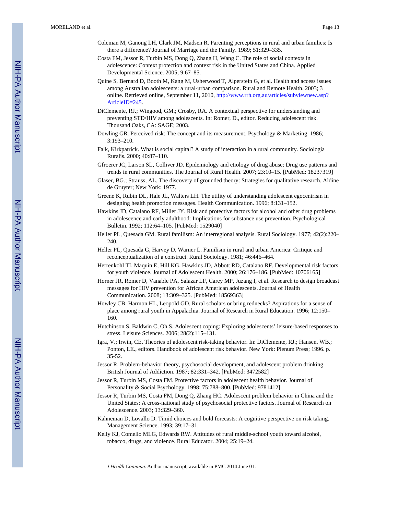- Coleman M, Ganong LH, Clark JM, Madsen R. Parenting perceptions in rural and urban families: Is there a difference? Journal of Marriage and the Family. 1989; 51:329–335.
- Costa FM, Jessor R, Turbin MS, Dong Q, Zhang H, Wang C. The role of social contexts in adolescence: Context protection and context risk in the United States and China. Applied Developmental Science. 2005; 9:67–85.
- Quine S, Bernard D, Booth M, Kang M, Usherwood T, Alperstein G, et al. Health and access issues among Australian adolescents: a rural-urban comparison. Rural and Remote Health. 2003; 3 online. Retrieved online, September 11, 2010, [http://www.rrh.org.au/articles/subviewnew.asp?](http://www.rrh.org.au/articles/subviewnew.asp?ArticleID=245) [ArticleID=245](http://www.rrh.org.au/articles/subviewnew.asp?ArticleID=245).
- DiClemente, RJ.; Wingood, GM.; Crosby, RA. A contextual perspective for understanding and preventing STD/HIV among adolescents. In: Romer, D., editor. Reducing adolescent risk. Thousand Oaks, CA: SAGE; 2003.
- Dowling GR. Perceived risk: The concept and its measurement. Psychology & Marketing. 1986; 3:193–210.
- Falk, Kirkpatrick. What is social capital? A study of interaction in a rural community. Sociologia Ruralis. 2000; 40:87–110.
- Gfroerer JC, Larson SL, Colliver JD. Epidemiology and etiology of drug abuse: Drug use patterns and trends in rural communities. The Journal of Rural Health. 2007; 23:10–15. [PubMed: 18237319]
- Glaser, BG.; Strauss, AL. The discovery of grounded theory: Strategies for qualitative research. Aldine de Gruyter; New York: 1977.
- Greene K, Rubin DL, Hale JL, Walters LH. The utility of understanding adolescent egocentrism in designing health promotion messages. Health Communication. 1996; 8:131–152.
- Hawkins JD, Catalano RF, Miller JY. Risk and protective factors for alcohol and other drug problems in adolescence and early adulthood: Implications for substance use prevention. Psychological Bulletin. 1992; 112:64–105. [PubMed: 1529040]
- Heller PL, Quesada GM. Rural familism: An interregional analysis. Rural Sociology. 1977; 42(2):220– 240.
- Heller PL, Quesada G, Harvey D, Warner L. Familism in rural and urban America: Critique and reconceptualization of a construct. Rural Sociology. 1981; 46:446–464.
- Herrenkohl TI, Maquin E, Hill KG, Hawkins JD, Abbott RD, Catalano RF. Developmental risk factors for youth violence. Journal of Adolescent Health. 2000; 26:176–186. [PubMed: 10706165]
- Horner JR, Romer D, Vanable PA, Salazar LF, Carey MP, Juzang I, et al. Research to design broadcast messages for HIV prevention for African American adolescents. Journal of Health Communication. 2008; 13:309–325. [PubMed: 18569363]
- Howley CB, Harmon HL, Leopold GD. Rural scholars or bring rednecks? Aspirations for a sense of place among rural youth in Appalachia. Journal of Research in Rural Education. 1996; 12:150– 160.
- Hutchinson S, Baldwin C, Oh S. Adolescent coping: Exploring adolescents' leisure-based responses to stress. Leisure Sciences. 2006; 28(2):115–131.
- Igra, V.; Irwin, CE. Theories of adolescent risk-taking behavior. In: DiClemente, RJ.; Hansen, WB.; Ponton, LE., editors. Handbook of adolescent risk behavior. New York: Plenum Press; 1996. p. 35-52.
- Jessor R. Problem-behavior theory, psychosocial development, and adolescent problem drinking. British Journal of Addiction. 1987; 82:331–342. [PubMed: 3472582]
- Jessor R, Turbin MS, Costa FM. Protective factors in adolescent health behavior. Journal of Personality & Social Psychology. 1998; 75:788–800. [PubMed: 9781412]
- Jessor R, Turbin MS, Costa FM, Dong Q, Zhang HC. Adolescent problem behavior in China and the United States: A cross-national study of psychosocial protective factors. Journal of Research on Adolescence. 2003; 13:329–360.
- Kahneman D, Lovallo D. Timid choices and bold forecasts: A cognitive perspective on risk taking. Management Science. 1993; 39:17–31.
- Kelly KJ, Comello MLG, Edwards RW. Attitudes of rural middle-school youth toward alcohol, tobacco, drugs, and violence. Rural Educator. 2004; 25:19–24.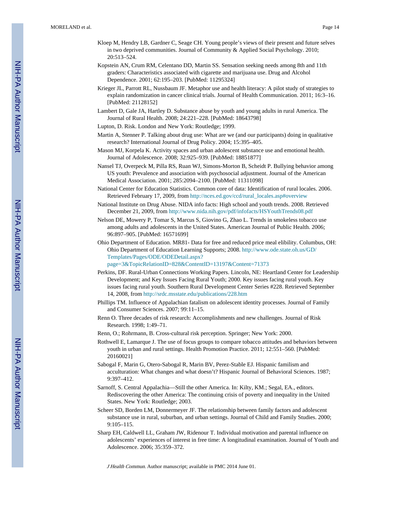- Kloep M, Hendry LB, Gardner C, Seage CH. Young people's views of their present and future selves in two deprived communities. Journal of Community & Applied Social Psychology. 2010; 20:513–524.
- Kopstein AN, Crum RM, Celentano DD, Martin SS. Sensation seeking needs among 8th and 11th graders: Characteristics associated with cigarette and marijuana use. Drug and Alcohol Dependence. 2001; 62:195–203. [PubMed: 11295324]
- Krieger JL, Parrott RL, Nussbaum JF. Metaphor use and health literacy: A pilot study of strategies to explain randomization in cancer clinical trials. Journal of Health Communication. 2011; 16:3–16. [PubMed: 21128152]
- Lambert D, Gale JA, Hartley D. Substance abuse by youth and young adults in rural America. The Journal of Rural Health. 2008; 24:221–228. [PubMed: 18643798]
- Lupton, D. Risk. London and New York: Routledge; 1999.
- Martin A, Stenner P. Talking about drug use: What are we (and our participants) doing in qualitative research? International Journal of Drug Policy. 2004; 15:395–405.
- Mason MJ, Korpela K. Activity spaces and urban adolescent substance use and emotional health. Journal of Adolescence. 2008; 32:925–939. [PubMed: 18851877]
- Nansel TJ, Overpeck M, Pilla RS, Ruan WJ, Simons-Morton B, Scheidt P. Bullying behavior among US youth: Prevalence and association with psychosocial adjustment. Journal of the American Medical Association. 2001; 285:2094–2100. [PubMed: 11311098]
- National Center for Education Statistics. Common core of data: Identification of rural locales. 2006. Retrieved February 17, 2009, from [http://nces.ed.gov/ccd/rural\\_locales.asp#overview](http://nces.ed.gov/ccd/rural_locales.asp#overview)
- National Institute on Drug Abuse. NIDA info facts: High school and youth trends. 2008. Retrieved December 21, 2009, from <http://www.nida.nih.gov/pdf/infofacts/HSYouthTrends08.pdf>
- Nelson DE, Mowery P, Tomar S, Marcus S, Giovino G, Zhao L. Trends in smokeless tobacco use among adults and adolescents in the United States. American Journal of Public Health. 2006; 96:897–905. [PubMed: 16571699]
- Ohio Department of Education. MR81- Data for free and reduced price meal elibility. Columbus, OH: Ohio Department of Education Learning Supports; 2008. [http://www.ode.state.oh.us/GD/](http://www.ode.state.oh.us/GD/Templates/Pages/ODE/ODEDetail.aspx?page=3&TopicRelationID=828&ContentID=13197&Content=71373) [Templates/Pages/ODE/ODEDetail.aspx?](http://www.ode.state.oh.us/GD/Templates/Pages/ODE/ODEDetail.aspx?page=3&TopicRelationID=828&ContentID=13197&Content=71373) [page=3&TopicRelationID=828&ContentID=13197&Content=71373](http://www.ode.state.oh.us/GD/Templates/Pages/ODE/ODEDetail.aspx?page=3&TopicRelationID=828&ContentID=13197&Content=71373)
- Perkins, DF. Rural-Urban Connections Working Papers. Lincoln, NE: Heartland Center for Leadership Development; and Key Issues Facing Rural Youth; 2000. Key issues facing rural youth. Key issues facing rural youth. Southern Rural Development Center Series #228. Retrieved September 14, 2008, from <http://srdc.msstate.edu/publications/228.htm>
- Phillips TM. Influence of Appalachian fatalism on adolescent identity processes. Journal of Family and Consumer Sciences. 2007; 99:11–15.
- Renn O. Three decades of risk research: Accomplishments and new challenges. Journal of Risk Research. 1998; 1:49–71.
- Renn, O.; Rohrmann, B. Cross-cultural risk perception. Springer; New York: 2000.
- Rothwell E, Lamarque J. The use of focus groups to compare tobacco attitudes and behaviors between youth in urban and rural settings. Health Promotion Practice. 2011; 12:551–560. [PubMed: 20160021]
- Sabogal F, Marin G, Otero-Sabogal R, Marin BV, Perez-Stable EJ. Hispanic familism and acculturation: What changes and what doesn't? Hispanic Journal of Behavioral Sciences. 1987; 9:397–412.
- Sarnoff, S. Central Appalachia—Still the other America. In: Kilty, KM.; Segal, EA., editors. Rediscovering the other America: The continuing crisis of poverty and inequality in the United States. New York: Routledge; 2003.
- Scheer SD, Borden LM, Donnermeyer JF. The relationship between family factors and adolescent substance use in rural, suburban, and urban settings. Journal of Child and Family Studies. 2000; 9:105–115.
- Sharp EH, Caldwell LL, Graham JW, Ridenour T. Individual motivation and parental influence on adolescents' experiences of interest in free time: A longitudinal examination. Journal of Youth and Adolescence. 2006; 35:359–372.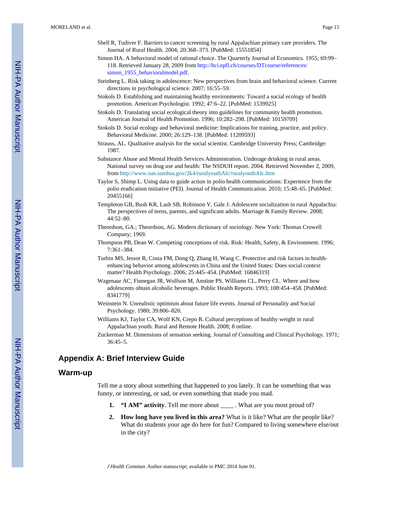- Shell R, Tudiver F. Barriers to cancer screening by rural Appalachian primary care providers. The Journal of Rural Health. 2004; 20:368–373. [PubMed: 15551854]
- Simon HA. A behavioral model of rational choice. The Quarterly Journal of Economics. 1955; 69:99– 118. Retrieved January 28, 2009 from [http://hci.epfl.ch/courses/DTcourse/references/](http://hci.epfl.ch/courses/DTcourse/references/simon_1955_behavioralmodel.pdf) [simon\\_1955\\_behavioralmodel.pdf.](http://hci.epfl.ch/courses/DTcourse/references/simon_1955_behavioralmodel.pdf)
- Steinberg L. Risk taking in adolescence: New perspectives from brain and behavioral science. Current directions in psychological science. 2007; 16:55–59.
- Stokols D. Establishing and maintaining healthy environments: Toward a social ecology of health promotion. American Psychologist. 1992; 47:6–22. [PubMed: 1539925]
- Stokols D. Translating social ecological theory into guidelines for community health promotion. American Journal of Health Promotion. 1996; 10:282–298. [PubMed: 10159709]
- Stokols D. Social ecology and behavioral medicine: Implications for training, practice, and policy. Behavioral Medicine. 2000; 26:129–138. [PubMed: 11209593]
- Strauss, AL. Qualitative analysis for the social scientist. Cambridge University Press; Cambridge: 1987.
- Substance Abuse and Mental Health Services Administration. Underage drinking in rural areas. National survey on drug use and health: The NSDUH report. 2004. Retrieved November 2, 2009, from <http://www.oas.samhsa.gov/2k4/ruralyouthAlc/ruralyouthAlc.htm>
- Taylor S, Shimp L. Using data to guide action in polio health communications: Experience from the polio eradication initiative (PEI). Journal of Health Communication. 2010; 15:48–65. [PubMed: 20455166]
- Templeton GB, Bush KR, Lash SB, Robinson V, Gale J. Adolescent socialization in rural Appalachia: The perspectives of teens, parents, and significant adults. Marriage & Family Review. 2008; 44:52–80.
- Theordson, GA.; Theordson, AG. Modern dictionary of sociology. New York: Thomas Crowell Company; 1969.
- Thompson PB, Dean W. Competing conceptions of risk. Risk: Health, Safety, & Environment. 1996; 7:361–384.
- Turbin MS, Jessor R, Costa FM, Dong Q, Zhang H, Wang C. Protective and risk factors in healthenhancing behavior among adolescents in China and the United States: Does social context matter? Health Psychology. 2006; 25:445–454. [PubMed: 16846319]
- Wagenaar AC, Finnegan JR, Wolfson M, Anstine PS, Williams CL, Perry CL. Where and how adolescents obtain alcoholic beverages. Public Health Reports. 1993; 108:454–458. [PubMed: 8341779]
- Weinstein N. Unrealistic optimism about future life events. Journal of Personality and Social Psychology. 1980; 39:806–820.
- Williams KJ, Taylor CA, Wolf KN, Crepo R. Cultural perceptions of healthy weight in rural Appalachian youth. Rural and Remote Health. 2008; 8 online.
- Zuckerman M. Dimensions of sensation seeking. Journal of Consulting and Clinical Psychology. 1971; 36:45–5.

### **Appendix A: Brief Interview Guide**

## **Warm-up**

Tell me a story about something that happened to you lately. It can be something that was funny, or interesting, or sad, or even something that made you mad.

- **1.** "I AM" activity. Tell me more about \_\_\_\_\_. What are you most proud of?
- **2. How long have you lived in this area?** What is it like? What are the people like? What do students your age do here for fun? Compared to living somewhere else/out in the city?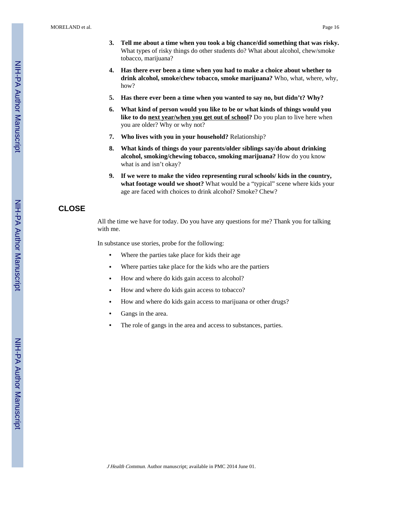MORELAND et al. Page 16

- **3. Tell me about a time when you took a big chance/did something that was risky.** What types of risky things do other students do? What about alcohol, chew/smoke tobacco, marijuana?
- **4. Has there ever been a time when you had to make a choice about whether to drink alcohol, smoke/chew tobacco, smoke marijuana?** Who, what, where, why, how?
- **5. Has there ever been a time when you wanted to say no, but didn't? Why?**
- **6. What kind of person would you like to be or what kinds of things would you** like to do next year/when you get out of school? Do you plan to live here when you are older? Why or why not?
- **7. Who lives with you in your household?** Relationship?
- **8. What kinds of things do your parents/older siblings say/do about drinking alcohol, smoking/chewing tobacco, smoking marijuana?** How do you know what is and isn't okay?
- **9. If we were to make the video representing rural schools/ kids in the country, what footage would we shoot?** What would be a "typical" scene where kids your age are faced with choices to drink alcohol? Smoke? Chew?

## **CLOSE**

All the time we have for today. Do you have any questions for me? Thank you for talking with me.

In substance use stories, probe for the following:

- **•** Where the parties take place for kids their age
- **•** Where parties take place for the kids who are the partiers
- **•** How and where do kids gain access to alcohol?
- **•** How and where do kids gain access to tobacco?
- **•** How and where do kids gain access to marijuana or other drugs?
- **•** Gangs in the area.
- The role of gangs in the area and access to substances, parties.